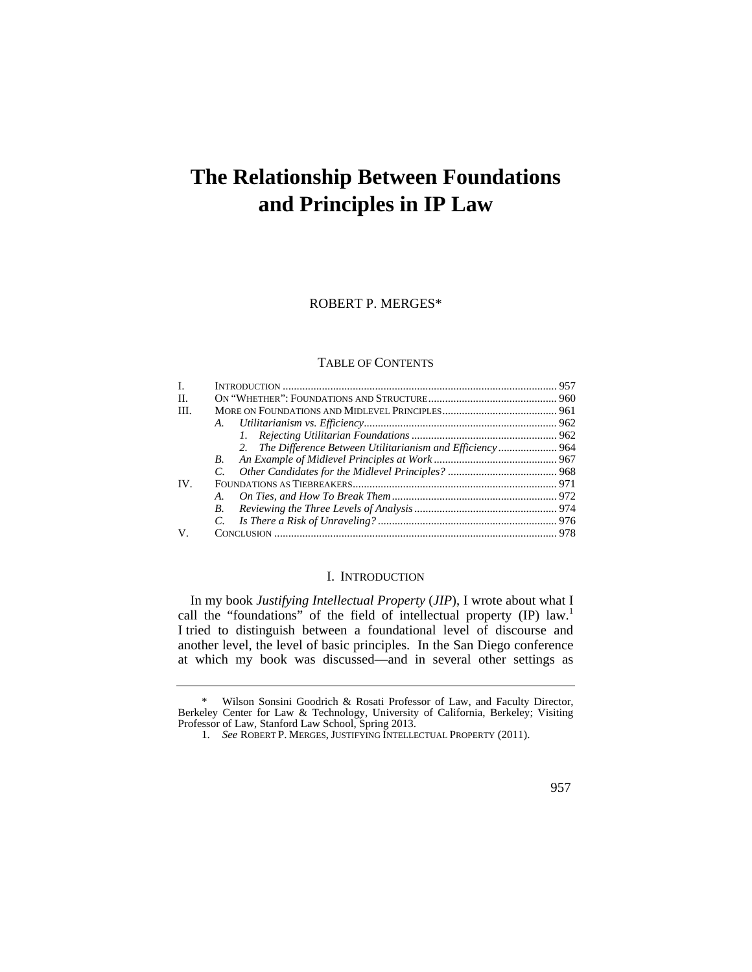# **The Relationship Between Foundations and Principles in IP Law**

ROBERT P. MERGES\*

#### TABLE OF CONTENTS

| I.  |                                                             |  |  |
|-----|-------------------------------------------------------------|--|--|
| H.  |                                                             |  |  |
| HI. |                                                             |  |  |
|     |                                                             |  |  |
|     |                                                             |  |  |
|     | 2. The Difference Between Utilitarianism and Efficiency 964 |  |  |
|     | B.                                                          |  |  |
|     |                                                             |  |  |
| IV. |                                                             |  |  |
|     | $A_{\cdot}$                                                 |  |  |
|     | $B_{\cdot}$                                                 |  |  |
|     | $\mathcal{C}$ .                                             |  |  |
| V.  |                                                             |  |  |

#### I. INTRODUCTION

In my book *Justifying Intellectual Property* (*JIP*), I wrote about what I call the "foundations" of the field of intellectual property (IP) law.<sup>1</sup> I tried to distinguish between a foundational level of discourse and another level, the level of basic principles. In the San Diego conference at which my book was discussed—and in several other settings as

<sup>\*</sup> Wilson Sonsini Goodrich & Rosati Professor of Law, and Faculty Director, Berkeley Center for Law & Technology, University of California, Berkeley; Visiting Professor of Law, Stanford Law School, Spring 2013.

<sup>1.</sup> *See* ROBERT P. MERGES, JUSTIFYING INTELLECTUAL PROPERTY (2011).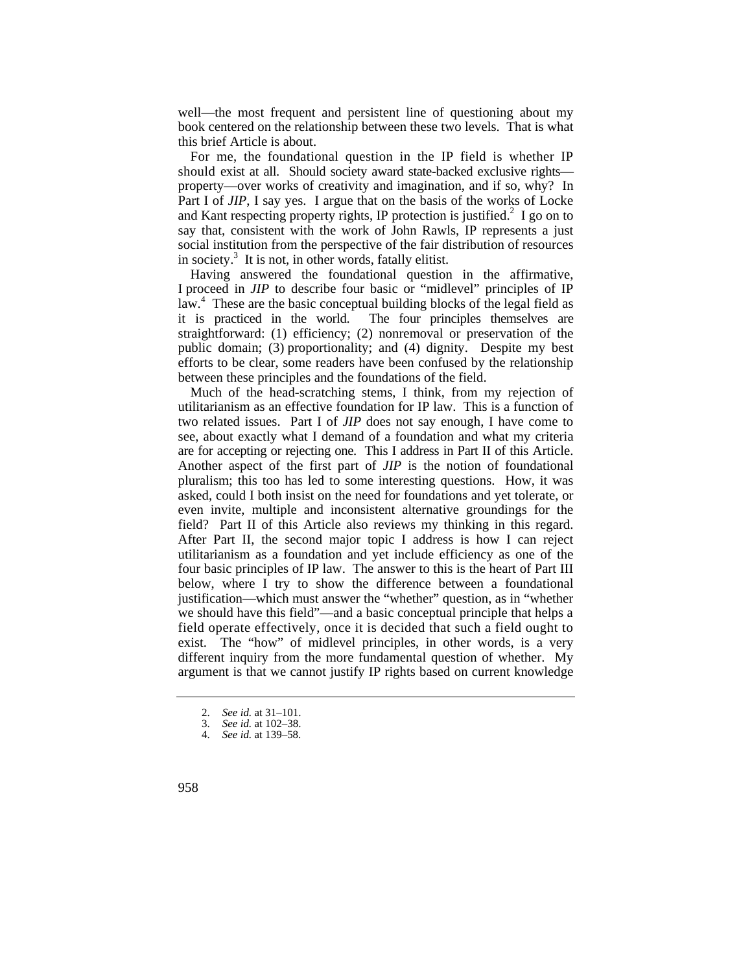well—the most frequent and persistent line of questioning about my book centered on the relationship between these two levels. That is what this brief Article is about.

For me, the foundational question in the IP field is whether IP should exist at all. Should society award state-backed exclusive rights property—over works of creativity and imagination, and if so, why? In Part I of *JIP*, I say yes. I argue that on the basis of the works of Locke and Kant respecting property rights, IP protection is justified.<sup>2</sup> I go on to say that, consistent with the work of John Rawls, IP represents a just social institution from the perspective of the fair distribution of resources in society.3 It is not, in other words, fatally elitist.

Having answered the foundational question in the affirmative, I proceed in *JIP* to describe four basic or "midlevel" principles of IP law.<sup>4</sup> These are the basic conceptual building blocks of the legal field as it is practiced in the world. The four principles themselves are straightforward: (1) efficiency; (2) nonremoval or preservation of the public domain; (3) proportionality; and (4) dignity. Despite my best efforts to be clear, some readers have been confused by the relationship between these principles and the foundations of the field.

Much of the head-scratching stems, I think, from my rejection of utilitarianism as an effective foundation for IP law. This is a function of two related issues. Part I of *JIP* does not say enough, I have come to see, about exactly what I demand of a foundation and what my criteria are for accepting or rejecting one. This I address in Part II of this Article. Another aspect of the first part of *JIP* is the notion of foundational pluralism; this too has led to some interesting questions. How, it was asked, could I both insist on the need for foundations and yet tolerate, or even invite, multiple and inconsistent alternative groundings for the field? Part II of this Article also reviews my thinking in this regard. After Part II, the second major topic I address is how I can reject utilitarianism as a foundation and yet include efficiency as one of the four basic principles of IP law. The answer to this is the heart of Part III below, where I try to show the difference between a foundational justification—which must answer the "whether" question, as in "whether we should have this field"—and a basic conceptual principle that helps a field operate effectively, once it is decided that such a field ought to exist. The "how" of midlevel principles, in other words, is a very different inquiry from the more fundamental question of whether. My argument is that we cannot justify IP rights based on current knowledge

<sup>2.</sup> *See id.* at 31–101.

<sup>3.</sup> *See id.* at 102–38.

<sup>4.</sup> *See id.* at 139–58.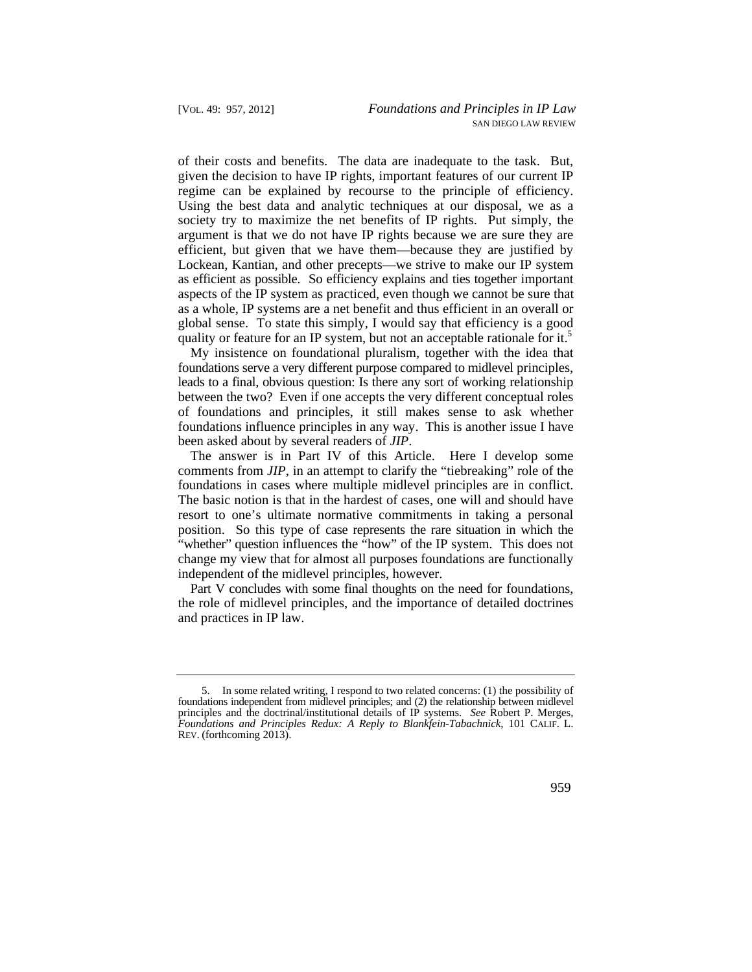of their costs and benefits. The data are inadequate to the task. But, given the decision to have IP rights, important features of our current IP regime can be explained by recourse to the principle of efficiency. Using the best data and analytic techniques at our disposal, we as a society try to maximize the net benefits of IP rights. Put simply, the argument is that we do not have IP rights because we are sure they are efficient, but given that we have them—because they are justified by Lockean, Kantian, and other precepts—we strive to make our IP system as efficient as possible. So efficiency explains and ties together important aspects of the IP system as practiced, even though we cannot be sure that as a whole, IP systems are a net benefit and thus efficient in an overall or global sense. To state this simply, I would say that efficiency is a good quality or feature for an IP system, but not an acceptable rationale for it.<sup>5</sup>

My insistence on foundational pluralism, together with the idea that foundations serve a very different purpose compared to midlevel principles, leads to a final, obvious question: Is there any sort of working relationship between the two? Even if one accepts the very different conceptual roles of foundations and principles, it still makes sense to ask whether foundations influence principles in any way. This is another issue I have been asked about by several readers of *JIP*.

The answer is in Part IV of this Article. Here I develop some comments from *JIP*, in an attempt to clarify the "tiebreaking" role of the foundations in cases where multiple midlevel principles are in conflict. The basic notion is that in the hardest of cases, one will and should have resort to one's ultimate normative commitments in taking a personal position. So this type of case represents the rare situation in which the "whether" question influences the "how" of the IP system. This does not change my view that for almost all purposes foundations are functionally independent of the midlevel principles, however.

Part V concludes with some final thoughts on the need for foundations, the role of midlevel principles, and the importance of detailed doctrines and practices in IP law.

 *Foundations and Principles Redux: A Reply to Blankfein-Tabachnick*, 101 CALIF. L. 5. In some related writing, I respond to two related concerns: (1) the possibility of foundations independent from midlevel principles; and (2) the relationship between midlevel principles and the doctrinal/institutional details of IP systems. *See* Robert P. Merges, REV. (forthcoming 2013).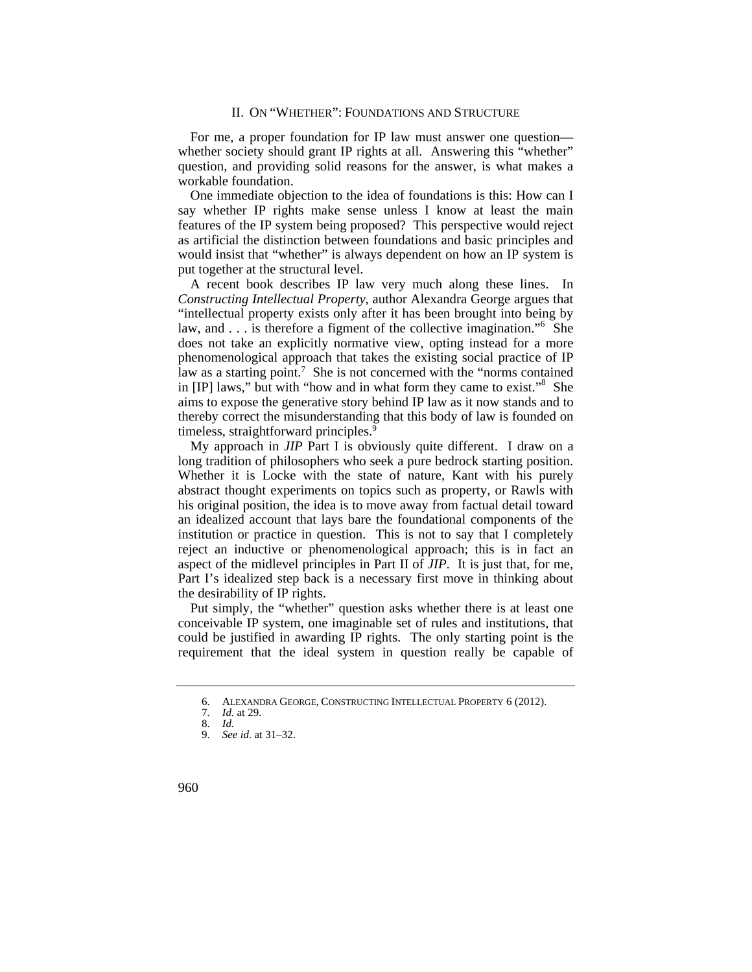For me, a proper foundation for IP law must answer one question whether society should grant IP rights at all. Answering this "whether" question, and providing solid reasons for the answer, is what makes a workable foundation.

One immediate objection to the idea of foundations is this: How can I say whether IP rights make sense unless I know at least the main features of the IP system being proposed? This perspective would reject as artificial the distinction between foundations and basic principles and would insist that "whether" is always dependent on how an IP system is put together at the structural level.

A recent book describes IP law very much along these lines. In *Constructing Intellectual Property*, author Alexandra George argues that "intellectual property exists only after it has been brought into being by law, and . . . is therefore a figment of the collective imagination."<sup>6</sup> She does not take an explicitly normative view, opting instead for a more phenomenological approach that takes the existing social practice of IP law as a starting point.<sup>7</sup> She is not concerned with the "norms contained in [IP] laws," but with "how and in what form they came to exist."<sup>8</sup> She aims to expose the generative story behind IP law as it now stands and to thereby correct the misunderstanding that this body of law is founded on timeless, straightforward principles.<sup>9</sup>

My approach in *JIP* Part I is obviously quite different. I draw on a long tradition of philosophers who seek a pure bedrock starting position. Whether it is Locke with the state of nature, Kant with his purely abstract thought experiments on topics such as property, or Rawls with his original position, the idea is to move away from factual detail toward an idealized account that lays bare the foundational components of the institution or practice in question. This is not to say that I completely reject an inductive or phenomenological approach; this is in fact an aspect of the midlevel principles in Part II of *JIP*. It is just that, for me, Part I's idealized step back is a necessary first move in thinking about the desirability of IP rights.

Put simply, the "whether" question asks whether there is at least one conceivable IP system, one imaginable set of rules and institutions, that could be justified in awarding IP rights. The only starting point is the requirement that the ideal system in question really be capable of

<sup>6.</sup> ALEXANDRA GEORGE, CONSTRUCTING INTELLECTUAL PROPERTY 6 (2012).

<sup>7.</sup> *Id.* at 29.

<sup>8.</sup> *Id.*  9. *See id.* at 31–32.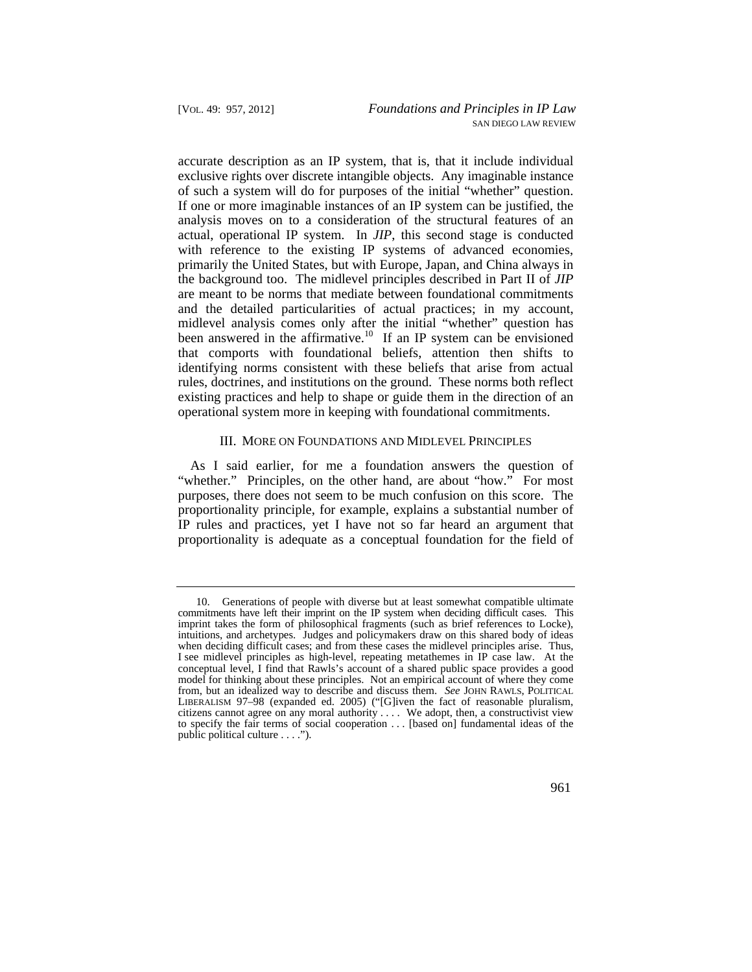identifying norms consistent with these beliefs that arise from actual accurate description as an IP system, that is, that it include individual exclusive rights over discrete intangible objects. Any imaginable instance of such a system will do for purposes of the initial "whether" question. If one or more imaginable instances of an IP system can be justified, the analysis moves on to a consideration of the structural features of an actual, operational IP system. In *JIP*, this second stage is conducted with reference to the existing IP systems of advanced economies, primarily the United States, but with Europe, Japan, and China always in the background too. The midlevel principles described in Part II of *JIP*  are meant to be norms that mediate between foundational commitments and the detailed particularities of actual practices; in my account, midlevel analysis comes only after the initial "whether" question has been answered in the [affirmative.](https://affirmative.10)<sup>10</sup> If an IP system can be envisioned that comports with foundational beliefs, attention then shifts to rules, doctrines, and institutions on the ground. These norms both reflect existing practices and help to shape or guide them in the direction of an operational system more in keeping with foundational commitments.

#### III. MORE ON FOUNDATIONS AND MIDLEVEL PRINCIPLES

As I said earlier, for me a foundation answers the question of "whether." Principles, on the other hand, are about "how." For most purposes, there does not seem to be much confusion on this score. The proportionality principle, for example, explains a substantial number of IP rules and practices, yet I have not so far heard an argument that proportionality is adequate as a conceptual foundation for the field of

 10. Generations of people with diverse but at least somewhat compatible ultimate commitments have left their imprint on the IP system when deciding difficult cases. This imprint takes the form of philosophical fragments (such as brief references to Locke), intuitions, and archetypes. Judges and policymakers draw on this shared body of ideas when deciding difficult cases; and from these cases the midlevel principles arise. Thus, I see midlevel principles as high-level, repeating metathemes in IP case law. At the conceptual level, I find that Rawls's account of a shared public space provides a good model for thinking about these principles. Not an empirical account of where they come from, but an idealized way to describe and discuss them. *See* JOHN RAWLS, POLITICAL LIBERALISM 97–98 (expanded ed. 2005) ("[G]iven the fact of reasonable pluralism, citizens cannot agree on any moral authority . . . . We adopt, then, a constructivist view to specify the fair terms of social cooperation . . . [based on] fundamental ideas of the public political culture . . . .").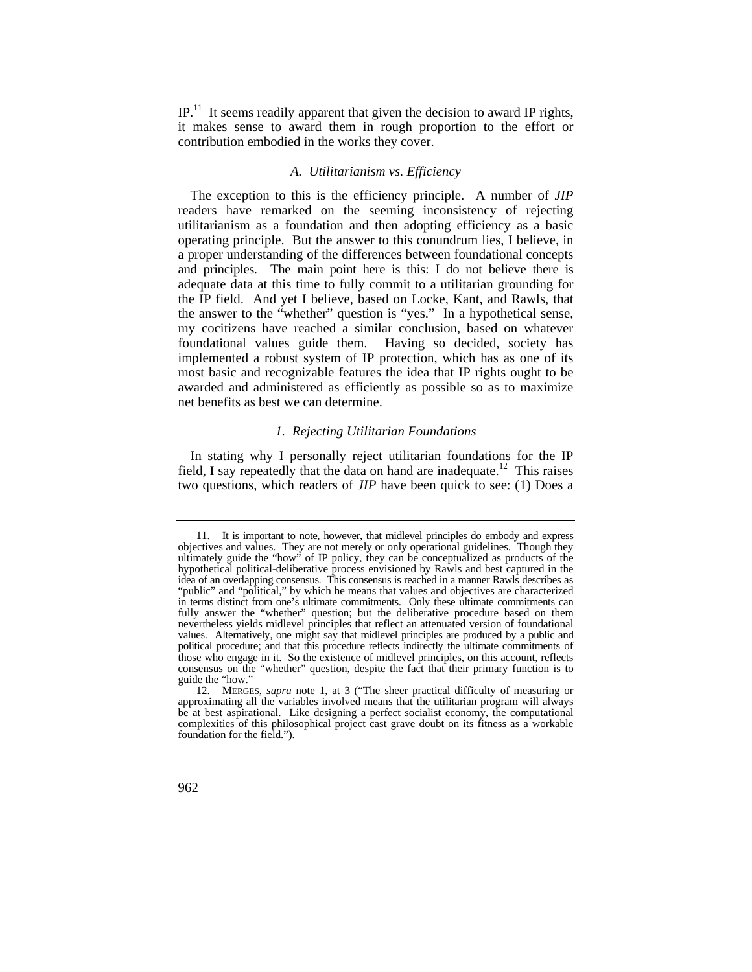$IP<sup>11</sup>$  It seems readily apparent that given the decision to award IP rights, it makes sense to award them in rough proportion to the effort or contribution embodied in the works they cover.

#### *A. Utilitarianism vs. Efficiency*

The exception to this is the efficiency principle. A number of *JIP*  readers have remarked on the seeming inconsistency of rejecting utilitarianism as a foundation and then adopting efficiency as a basic operating principle. But the answer to this conundrum lies, I believe, in a proper understanding of the differences between foundational concepts and principles. The main point here is this: I do not believe there is adequate data at this time to fully commit to a utilitarian grounding for the IP field. And yet I believe, based on Locke, Kant, and Rawls, that the answer to the "whether" question is "yes." In a hypothetical sense, my cocitizens have reached a similar conclusion, based on whatever foundational values guide them. Having so decided, society has implemented a robust system of IP protection, which has as one of its most basic and recognizable features the idea that IP rights ought to be awarded and administered as efficiently as possible so as to maximize net benefits as best we can determine.

## *1. Rejecting Utilitarian Foundations*

In stating why I personally reject utilitarian foundations for the IP field, I say repeatedly that the data on hand are inadequate.<sup>12</sup> This raises two questions, which readers of *JIP* have been quick to see: (1) Does a

 idea of an overlapping consensus. This consensus is reached in a manner Rawls describes as values. Alternatively, one might say that midlevel principles are produced by a public and 11. It is important to note, however, that midlevel principles do embody and express objectives and values. They are not merely or only operational guidelines. Though they ultimately guide the "how" of IP policy, they can be conceptualized as products of the hypothetical political-deliberative process envisioned by Rawls and best captured in the "public" and "political," by which he means that values and objectives are characterized in terms distinct from one's ultimate commitments. Only these ultimate commitments can fully answer the "whether" question; but the deliberative procedure based on them nevertheless yields midlevel principles that reflect an attenuated version of foundational political procedure; and that this procedure reflects indirectly the ultimate commitments of those who engage in it. So the existence of midlevel principles, on this account, reflects consensus on the "whether" question, despite the fact that their primary function is to guide the "how."

<sup>12.</sup> MERGES, *supra* note 1, at 3 ("The sheer practical difficulty of measuring or approximating all the variables involved means that the utilitarian program will always be at best aspirational. Like designing a perfect socialist economy, the computational complexities of this philosophical project cast grave doubt on its fitness as a workable foundation for the field.").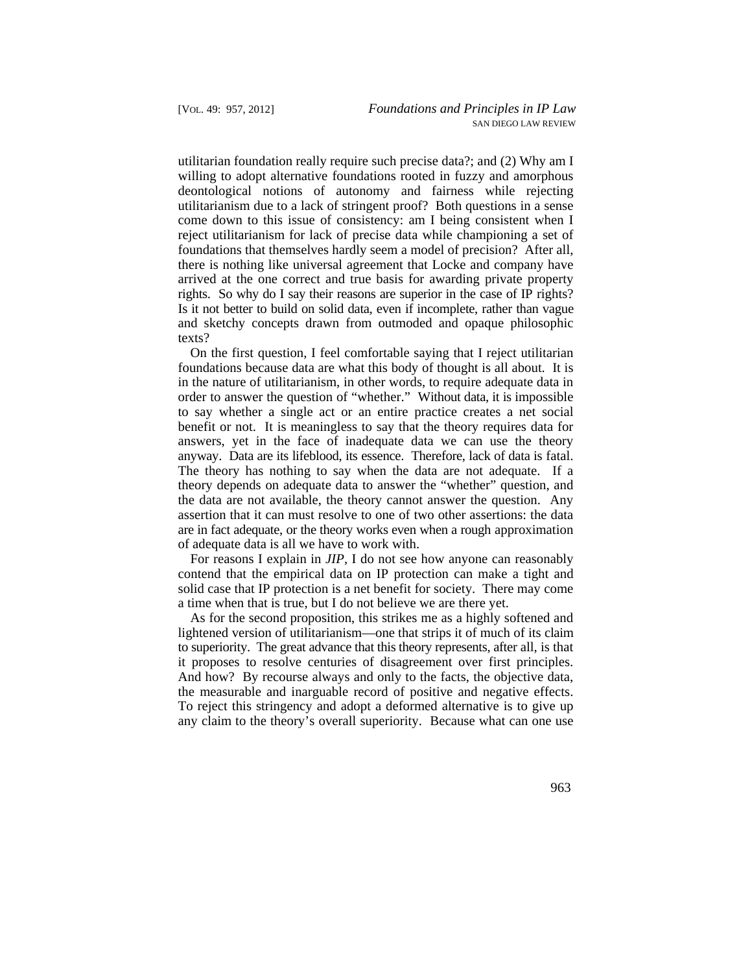utilitarian foundation really require such precise data?; and (2) Why am I Is it not better to build on solid data, even if incomplete, rather than vague willing to adopt alternative foundations rooted in fuzzy and amorphous deontological notions of autonomy and fairness while rejecting utilitarianism due to a lack of stringent proof? Both questions in a sense come down to this issue of consistency: am I being consistent when I reject utilitarianism for lack of precise data while championing a set of foundations that themselves hardly seem a model of precision? After all, there is nothing like universal agreement that Locke and company have arrived at the one correct and true basis for awarding private property rights. So why do I say their reasons are superior in the case of IP rights? and sketchy concepts drawn from outmoded and opaque philosophic texts?

 order to answer the question of "whether." Without data, it is impossible On the first question, I feel comfortable saying that I reject utilitarian foundations because data are what this body of thought is all about. It is in the nature of utilitarianism, in other words, to require adequate data in to say whether a single act or an entire practice creates a net social benefit or not. It is meaningless to say that the theory requires data for answers, yet in the face of inadequate data we can use the theory anyway. Data are its lifeblood, its essence. Therefore, lack of data is fatal. The theory has nothing to say when the data are not adequate. If a theory depends on adequate data to answer the "whether" question, and the data are not available, the theory cannot answer the question. Any assertion that it can must resolve to one of two other assertions: the data are in fact adequate, or the theory works even when a rough approximation of adequate data is all we have to work with.

For reasons I explain in *JIP*, I do not see how anyone can reasonably contend that the empirical data on IP protection can make a tight and solid case that IP protection is a net benefit for society. There may come a time when that is true, but I do not believe we are there yet.

 to superiority. The great advance that this theory represents, after all, is that As for the second proposition, this strikes me as a highly softened and lightened version of utilitarianism—one that strips it of much of its claim it proposes to resolve centuries of disagreement over first principles. And how? By recourse always and only to the facts, the objective data, the measurable and inarguable record of positive and negative effects. To reject this stringency and adopt a deformed alternative is to give up any claim to the theory's overall superiority. Because what can one use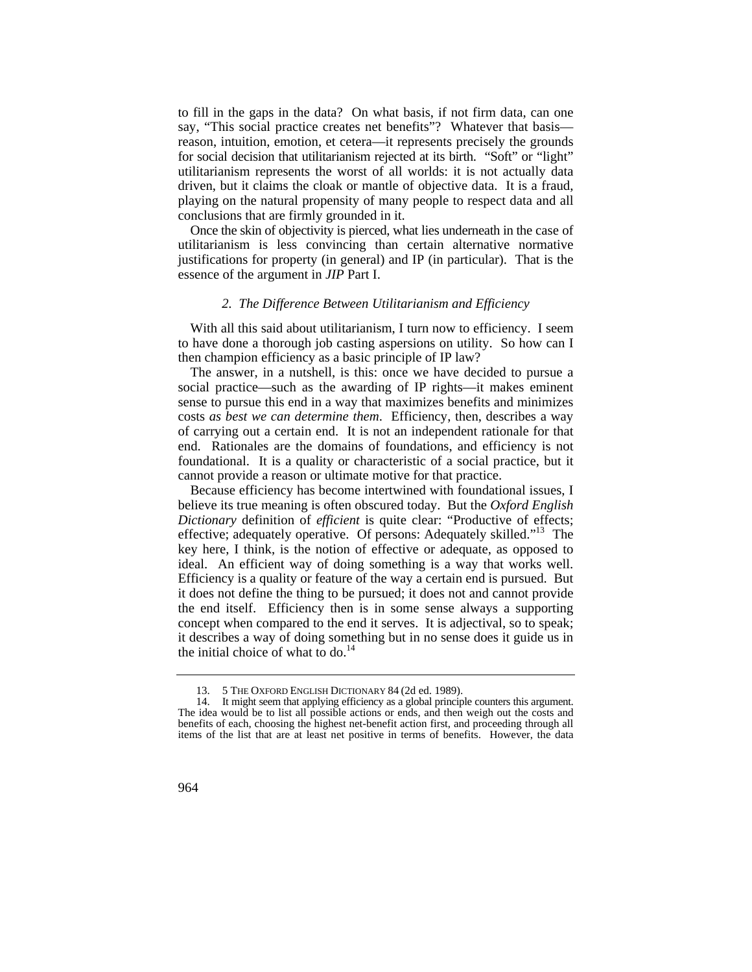to fill in the gaps in the data? On what basis, if not firm data, can one say, "This social practice creates net benefits"? Whatever that basis reason, intuition, emotion, et cetera—it represents precisely the grounds for social decision that utilitarianism rejected at its birth. "Soft" or "light" utilitarianism represents the worst of all worlds: it is not actually data driven, but it claims the cloak or mantle of objective data. It is a fraud, playing on the natural propensity of many people to respect data and all conclusions that are firmly grounded in it.

Once the skin of objectivity is pierced, what lies underneath in the case of utilitarianism is less convincing than certain alternative normative justifications for property (in general) and IP (in particular). That is the essence of the argument in *JIP* Part I.

#### *2. The Difference Between Utilitarianism and Efficiency*

With all this said about utilitarianism, I turn now to efficiency. I seem to have done a thorough job casting aspersions on utility. So how can I then champion efficiency as a basic principle of IP law?

The answer, in a nutshell, is this: once we have decided to pursue a social practice—such as the awarding of IP rights—it makes eminent sense to pursue this end in a way that maximizes benefits and minimizes costs *as best we can determine them*. Efficiency, then, describes a way of carrying out a certain end. It is not an independent rationale for that end. Rationales are the domains of foundations, and efficiency is not foundational. It is a quality or characteristic of a social practice, but it cannot provide a reason or ultimate motive for that practice.

Because efficiency has become intertwined with foundational issues, I believe its true meaning is often obscured today. But the *Oxford English Dictionary* definition of *efficient* is quite clear: "Productive of effects; effective; adequately operative. Of persons: Adequately skilled."<sup>13</sup> The key here, I think, is the notion of effective or adequate, as opposed to ideal. An efficient way of doing something is a way that works well. Efficiency is a quality or feature of the way a certain end is pursued. But it does not define the thing to be pursued; it does not and cannot provide the end itself. Efficiency then is in some sense always a supporting concept when compared to the end it serves. It is adjectival, so to speak; it describes a way of doing something but in no sense does it guide us in the initial choice of what to do. $14$ 

<sup>13. 5</sup> THE OXFORD ENGLISH DICTIONARY 84 (2d ed. 1989).

<sup>14.</sup> It might seem that applying efficiency as a global principle counters this argument. The idea would be to list all possible actions or ends, and then weigh out the costs and benefits of each, choosing the highest net-benefit action first, and proceeding through all items of the list that are at least net positive in terms of benefits. However, the data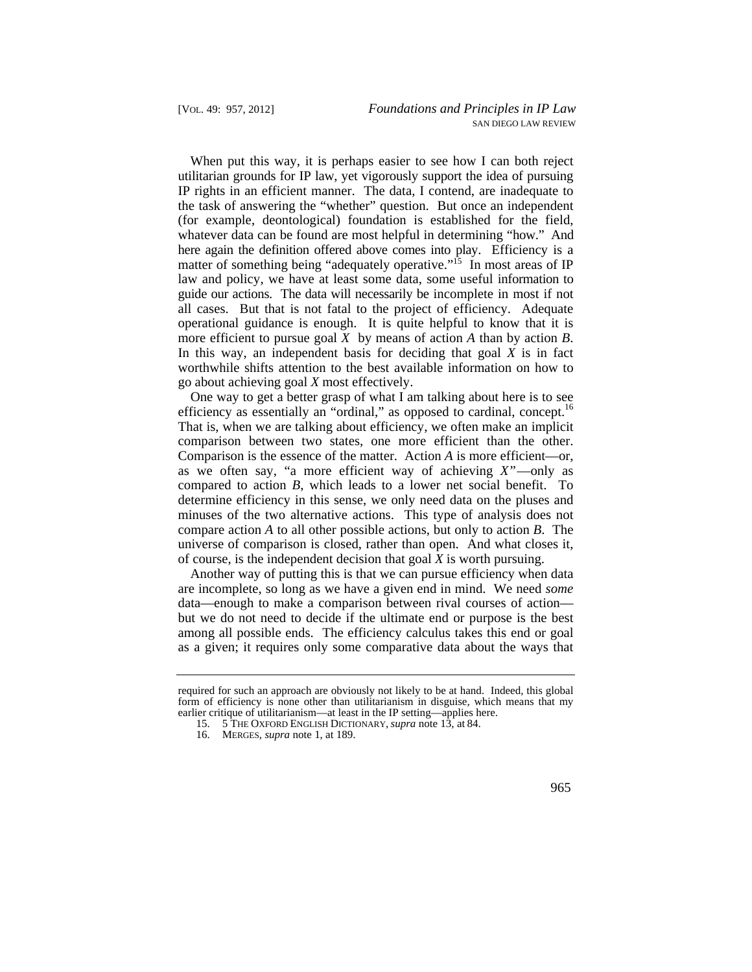whatever data can be found are most helpful in determining "how." And law and policy, we have at least some data, some useful information to guide our actions. The data will necessarily be incomplete in most if not When put this way, it is perhaps easier to see how I can both reject utilitarian grounds for IP law, yet vigorously support the idea of pursuing IP rights in an efficient manner. The data, I contend, are inadequate to the task of answering the "whether" question. But once an independent (for example, deontological) foundation is established for the field, here again the definition offered above comes into play. Efficiency is a matter of something being "adequately operative."<sup>15</sup> In most areas of IP all cases. But that is not fatal to the project of efficiency. Adequate operational guidance is enough. It is quite helpful to know that it is more efficient to pursue goal *X* by means of action *A* than by action *B*. In this way, an independent basis for deciding that goal *X* is in fact worthwhile shifts attention to the best available information on how to go about achieving goal *X* most effectively.

efficiency as essentially an "ordinal," as opposed to cardinal, concept.<sup>16</sup> One way to get a better grasp of what I am talking about here is to see That is, when we are talking about efficiency, we often make an implicit comparison between two states, one more efficient than the other. Comparison is the essence of the matter. Action *A* is more efficient—or, as we often say, "a more efficient way of achieving *X*"—only as compared to action *B*, which leads to a lower net social benefit. To determine efficiency in this sense, we only need data on the pluses and minuses of the two alternative actions. This type of analysis does not compare action *A* to all other possible actions, but only to action *B*. The universe of comparison is closed, rather than open. And what closes it, of course, is the independent decision that goal *X* is worth pursuing.

Another way of putting this is that we can pursue efficiency when data are incomplete, so long as we have a given end in mind. We need *some*  data—enough to make a comparison between rival courses of action but we do not need to decide if the ultimate end or purpose is the best among all possible ends. The efficiency calculus takes this end or goal as a given; it requires only some comparative data about the ways that

required for such an approach are obviously not likely to be at hand. Indeed, this global form of efficiency is none other than utilitarianism in disguise, which means that my earlier critique of utilitarianism—at least in the IP setting—applies here.

<sup>15. 5</sup> THE OXFORD ENGLISH DICTIONARY, *supra* note 13, at 84.

<sup>16.</sup> MERGES, *supra* note 1, at 189.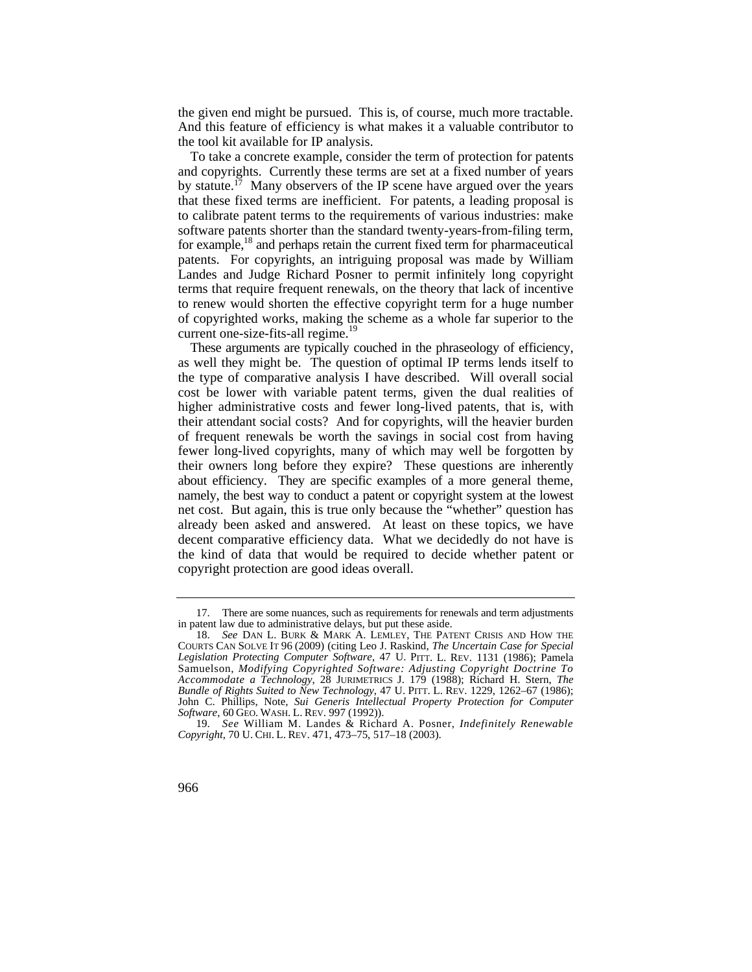the given end might be pursued. This is, of course, much more tractable. And this feature of efficiency is what makes it a valuable contributor to the tool kit available for IP analysis.

by statute.<sup>17</sup> Many observers of the IP scene have argued over the years for example,<sup>18</sup> and perhaps retain the current fixed term for pharmaceutical To take a concrete example, consider the term of protection for patents and copyrights. Currently these terms are set at a fixed number of years that these fixed terms are inefficient. For patents, a leading proposal is to calibrate patent terms to the requirements of various industries: make software patents shorter than the standard twenty-years-from-filing term, patents. For copyrights, an intriguing proposal was made by William Landes and Judge Richard Posner to permit infinitely long copyright terms that require frequent renewals, on the theory that lack of incentive to renew would shorten the effective copyright term for a huge number of copyrighted works, making the scheme as a whole far superior to the current one-size-fits-all [regime.](https://regime.19)<sup>19</sup>

 about efficiency. They are specific examples of a more general theme, These arguments are typically couched in the phraseology of efficiency, as well they might be. The question of optimal IP terms lends itself to the type of comparative analysis I have described. Will overall social cost be lower with variable patent terms, given the dual realities of higher administrative costs and fewer long-lived patents, that is, with their attendant social costs? And for copyrights, will the heavier burden of frequent renewals be worth the savings in social cost from having fewer long-lived copyrights, many of which may well be forgotten by their owners long before they expire? These questions are inherently namely, the best way to conduct a patent or copyright system at the lowest net cost. But again, this is true only because the "whether" question has already been asked and answered. At least on these topics, we have decent comparative efficiency data. What we decidedly do not have is the kind of data that would be required to decide whether patent or copyright protection are good ideas overall.

<sup>17.</sup> There are some nuances, such as requirements for renewals and term adjustments in patent law due to administrative delays, but put these aside.

 18. *See* DAN L. BURK & MARK A. LEMLEY, THE PATENT CRISIS AND HOW THE *Legislation Protecting Computer Software*, 47 U. PITT. L. REV. 1131 (1986); Pamela *Bundle of Rights Suited to New Technology*, 47 U. PITT. L. REV. 1229, 1262–67 (1986); *Software*, 60 GEO. WASH. L. REV. 997 (1992)). COURTS CAN SOLVE IT 96 (2009) (citing Leo J. Raskind, *The Uncertain Case for Special*  Samuelson, *Modifying Copyrighted Software: Adjusting Copyright Doctrine To Accommodate a Technology*, 28 JURIMETRICS J. 179 (1988); Richard H. Stern, *The*  John C. Phillips, Note, *Sui Generis Intellectual Property Protection for Computer* 

 *Copyright*, 70 U. CHI. L. REV. 471, 473–75, 517–18 (2003). 19. *See* William M. Landes & Richard A. Posner, *Indefinitely Renewable*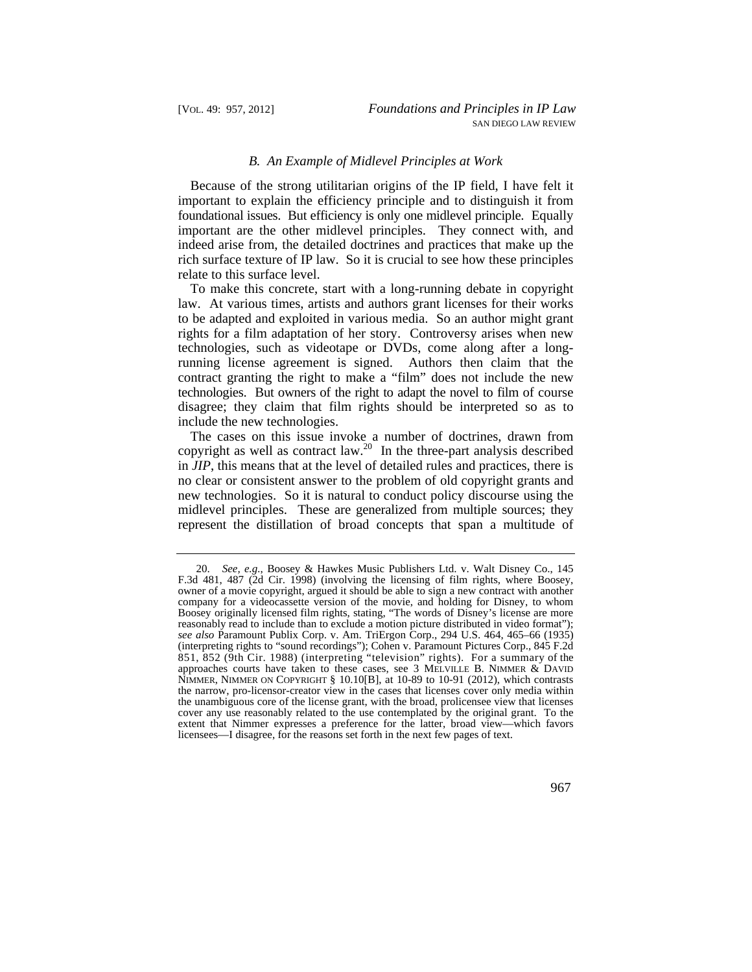#### *B. An Example of Midlevel Principles at Work*

 foundational issues. But efficiency is only one midlevel principle. Equally Because of the strong utilitarian origins of the IP field, I have felt it important to explain the efficiency principle and to distinguish it from important are the other midlevel principles. They connect with, and indeed arise from, the detailed doctrines and practices that make up the rich surface texture of IP law. So it is crucial to see how these principles relate to this surface level.

 technologies. But owners of the right to adapt the novel to film of course To make this concrete, start with a long-running debate in copyright law. At various times, artists and authors grant licenses for their works to be adapted and exploited in various media. So an author might grant rights for a film adaptation of her story. Controversy arises when new technologies, such as videotape or DVDs, come along after a longrunning license agreement is signed. Authors then claim that the contract granting the right to make a "film" does not include the new disagree; they claim that film rights should be interpreted so as to include the new technologies.

 midlevel principles. These are generalized from multiple sources; they The cases on this issue invoke a number of doctrines, drawn from copyright as well as contract law.<sup>20</sup> In the three-part analysis described in *JIP*, this means that at the level of detailed rules and practices, there is no clear or consistent answer to the problem of old copyright grants and new technologies. So it is natural to conduct policy discourse using the represent the distillation of broad concepts that span a multitude of

 851, 852 (9th Cir. 1988) (interpreting "television" rights). For a summary of the 20. *See, e.g.*, Boosey & Hawkes Music Publishers Ltd. v. Walt Disney Co., 145 F.3d 481, 487 (2d Cir. 1998) (involving the licensing of film rights, where Boosey, owner of a movie copyright, argued it should be able to sign a new contract with another company for a videocassette version of the movie, and holding for Disney, to whom Boosey originally licensed film rights, stating, "The words of Disney's license are more reasonably read to include than to exclude a motion picture distributed in video format"); *see also* Paramount Publix Corp. v. Am. TriErgon Corp., 294 U.S. 464, 465–66 (1935) (interpreting rights to "sound recordings"); Cohen v. Paramount Pictures Corp., 845 F.2d approaches courts have taken to these cases, see 3 MELVILLE B. NIMMER & DAVID NIMMER, NIMMER ON COPYRIGHT  $\S$  10.10[B], at 10-89 to 10-91 (2012), which contrasts the narrow, pro-licensor-creator view in the cases that licenses cover only media within the unambiguous core of the license grant, with the broad, prolicensee view that licenses cover any use reasonably related to the use contemplated by the original grant. To the extent that Nimmer expresses a preference for the latter, broad view—which favors licensees—I disagree, for the reasons set forth in the next few pages of text.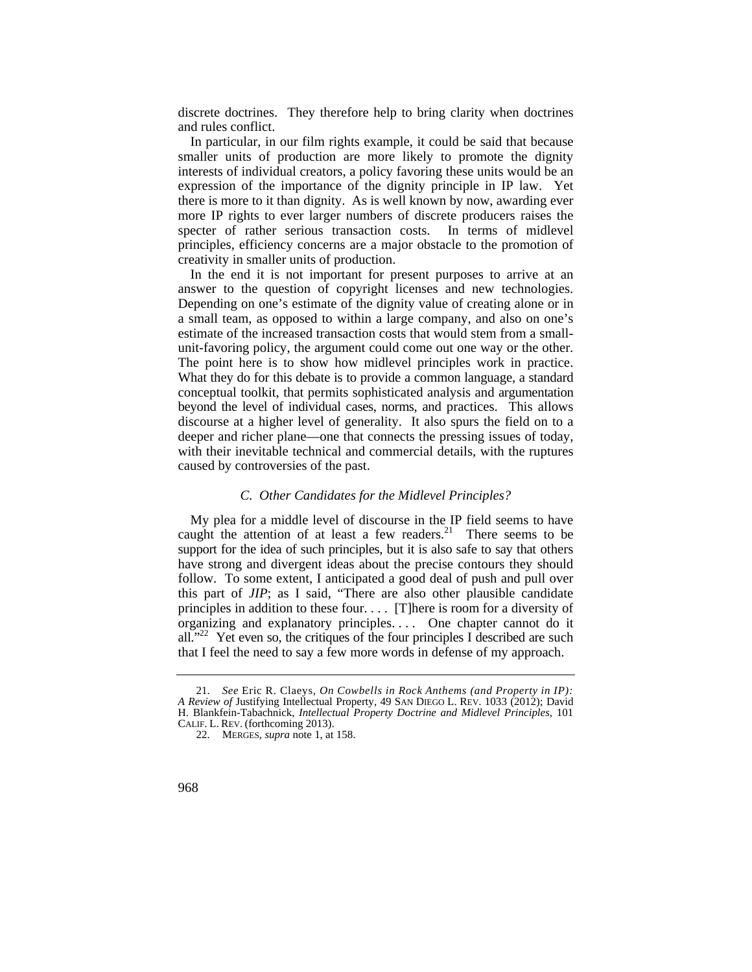discrete doctrines. They therefore help to bring clarity when doctrines and rules conflict.

In particular, in our film rights example, it could be said that because smaller units of production are more likely to promote the dignity interests of individual creators, a policy favoring these units would be an expression of the importance of the dignity principle in IP law. Yet there is more to it than dignity. As is well known by now, awarding ever more IP rights to ever larger numbers of discrete producers raises the specter of rather serious transaction costs. In terms of midlevel principles, efficiency concerns are a major obstacle to the promotion of creativity in smaller units of production.

 Depending on one's estimate of the dignity value of creating alone or in In the end it is not important for present purposes to arrive at an answer to the question of copyright licenses and new technologies. a small team, as opposed to within a large company, and also on one's estimate of the increased transaction costs that would stem from a smallunit-favoring policy, the argument could come out one way or the other. The point here is to show how midlevel principles work in practice. What they do for this debate is to provide a common language, a standard conceptual toolkit, that permits sophisticated analysis and argumentation beyond the level of individual cases, norms, and practices. This allows discourse at a higher level of generality. It also spurs the field on to a deeper and richer plane—one that connects the pressing issues of today, with their inevitable technical and commercial details, with the ruptures caused by controversies of the past.

#### *C. Other Candidates for the Midlevel Principles?*

 support for the idea of such principles, but it is also safe to say that others principles in addition to these four. . . . [T]here is room for a diversity of all."<sup>22</sup> Yet even so, the critiques of the four principles I described are such My plea for a middle level of discourse in the IP field seems to have caught the attention of at least a few [readers.](https://readers.21)<sup>21</sup> There seems to be have strong and divergent ideas about the precise contours they should follow. To some extent, I anticipated a good deal of push and pull over this part of *JIP*; as I said, "There are also other plausible candidate organizing and explanatory principles. . . . One chapter cannot do it that I feel the need to say a few more words in defense of my approach.

 CALIF. L. REV. (forthcoming 2013). 21. *See* Eric R. Claeys, *On Cowbells in Rock Anthems (and Property in IP): A Review of* Justifying Intellectual Property, 49 SAN DIEGO L. REV. 1033 (2012); David H. Blankfein-Tabachnick, *Intellectual Property Doctrine and Midlevel Principles*, 101

<sup>22.</sup> MERGES, *supra* note 1, at 158.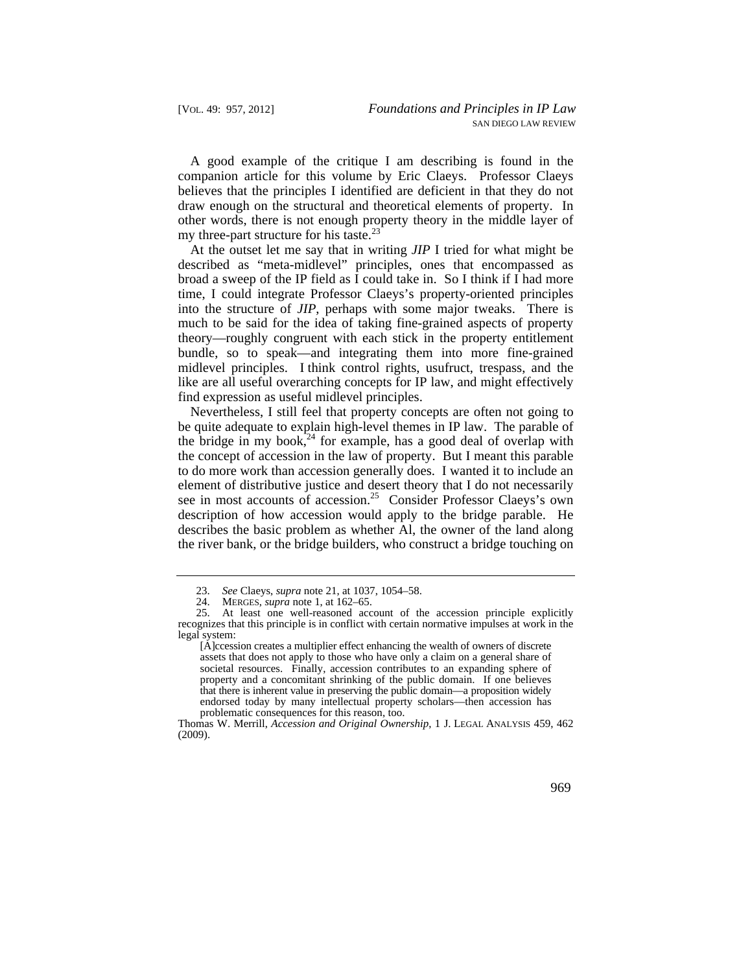A good example of the critique I am describing is found in the companion article for this volume by Eric Claeys. Professor Claeys believes that the principles I identified are deficient in that they do not draw enough on the structural and theoretical elements of property. In other words, there is not enough property theory in the middle layer of my three-part structure for his taste.<sup>23</sup>

At the outset let me say that in writing *JIP* I tried for what might be described as "meta-midlevel" principles, ones that encompassed as broad a sweep of the IP field as I could take in. So I think if I had more time, I could integrate Professor Claeys's property-oriented principles into the structure of *JIP*, perhaps with some major tweaks. There is much to be said for the idea of taking fine-grained aspects of property theory—roughly congruent with each stick in the property entitlement bundle, so to speak—and integrating them into more fine-grained midlevel principles. I think control rights, usufruct, trespass, and the like are all useful overarching concepts for IP law, and might effectively find expression as useful midlevel principles.

Nevertheless, I still feel that property concepts are often not going to be quite adequate to explain high-level themes in IP law. The parable of the bridge in my book, $24$  for example, has a good deal of overlap with the concept of accession in the law of property. But I meant this parable to do more work than accession generally does. I wanted it to include an element of distributive justice and desert theory that I do not necessarily see in most accounts of [accession.](https://accession.25)<sup>25</sup> Consider Professor Claeys's own description of how accession would apply to the bridge parable. He describes the basic problem as whether Al, the owner of the land along the river bank, or the bridge builders, who construct a bridge touching on

<sup>23.</sup> *See* Claeys, *supra* note 21, at 1037, 1054–58.

<sup>24.</sup> MERGES, *supra* note 1, at 162–65.

<sup>25.</sup> At least one well-reasoned account of the accession principle explicitly recognizes that this principle is in conflict with certain normative impulses at work in the legal system:

 that there is inherent value in preserving the public domain—a proposition widely [A]ccession creates a multiplier effect enhancing the wealth of owners of discrete assets that does not apply to those who have only a claim on a general share of societal resources. Finally, accession contributes to an expanding sphere of property and a concomitant shrinking of the public domain. If one believes endorsed today by many intellectual property scholars—then accession has problematic consequences for this reason, too.

Thomas W. Merrill, *Accession and Original Ownership*, 1 J. LEGAL ANALYSIS 459, 462 (2009).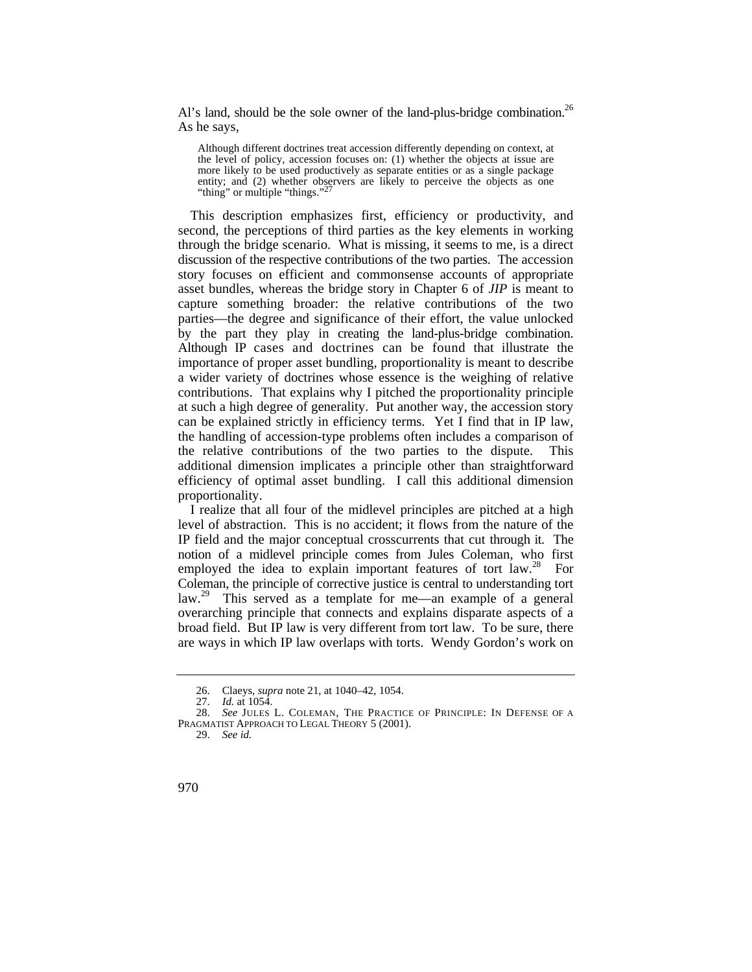Al's land, should be the sole owner of the land-plus-bridge combination.<sup>26</sup> As he says,

Although different doctrines treat accession differently depending on context, at the level of policy, accession focuses on: (1) whether the objects at issue are more likely to be used productively as separate entities or as a single package entity; and (2) whether observers are likely to perceive the objects as one "thing" or multiple "things."<sup>27</sup>

 discussion of the respective contributions of the two parties. The accession by the part they play in creating the land-plus-bridge combination. Although IP cases and doctrines can be found that illustrate the efficiency of optimal asset bundling. I call this additional dimension This description emphasizes first, efficiency or productivity, and second, the perceptions of third parties as the key elements in working through the bridge scenario. What is missing, it seems to me, is a direct story focuses on efficient and commonsense accounts of appropriate asset bundles, whereas the bridge story in Chapter 6 of *JIP* is meant to capture something broader: the relative contributions of the two parties—the degree and significance of their effort, the value unlocked importance of proper asset bundling, proportionality is meant to describe a wider variety of doctrines whose essence is the weighing of relative contributions. That explains why I pitched the proportionality principle at such a high degree of generality. Put another way, the accession story can be explained strictly in efficiency terms. Yet I find that in IP law, the handling of accession-type problems often includes a comparison of the relative contributions of the two parties to the dispute. This additional dimension implicates a principle other than straightforward proportionality.

 IP field and the major conceptual crosscurrents that cut through it. The notion of a midlevel principle comes from Jules Coleman, who first I realize that all four of the midlevel principles are pitched at a high level of abstraction. This is no accident; it flows from the nature of the employed the idea to explain important features of tort  $law<sup>28</sup>$  For Coleman, the principle of corrective justice is central to understanding tort law.<sup>29</sup> This served as a template for me—an example of a general overarching principle that connects and explains disparate aspects of a broad field. But IP law is very different from tort law. To be sure, there are ways in which IP law overlaps with torts. Wendy Gordon's work on

<sup>26.</sup> Claeys, *supra* note 21, at 1040–42, 1054.

<sup>27.</sup> *Id.* at 1054.

<sup>28.</sup> *See* JULES L. COLEMAN, THE PRACTICE OF PRINCIPLE: IN DEFENSE OF A PRAGMATIST APPROACH TO LEGAL THEORY 5 (2001).

<sup>29.</sup> *See id.*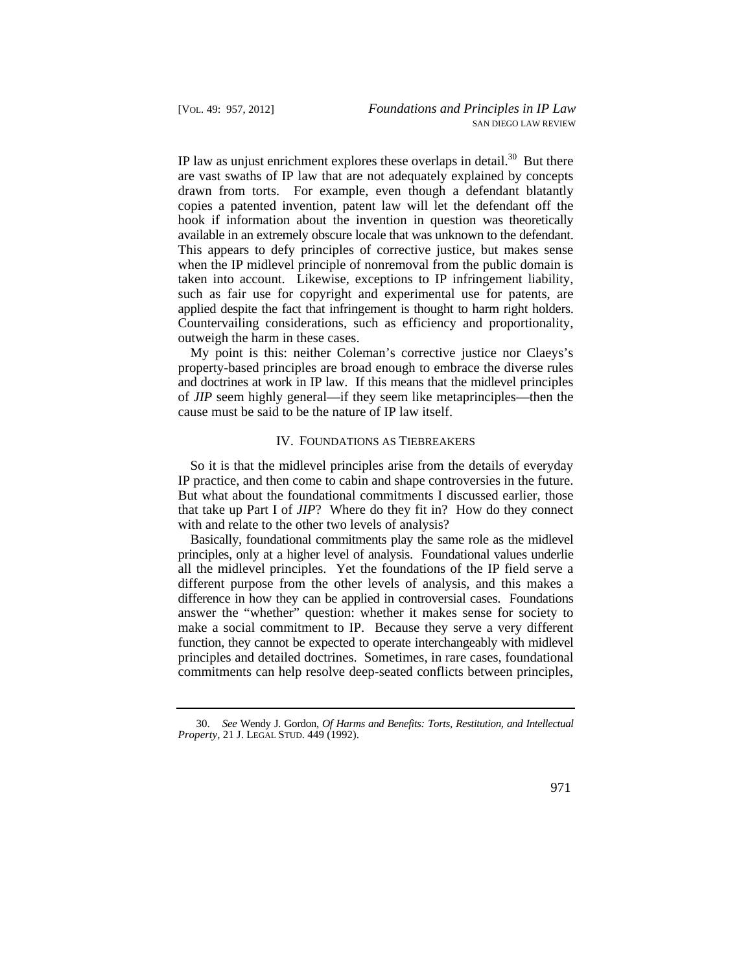hook if information about the invention in question was theoretically IP law as unjust enrichment explores these overlaps in [detail.](https://detail.30)<sup>30</sup> But there are vast swaths of IP law that are not adequately explained by concepts drawn from torts. For example, even though a defendant blatantly copies a patented invention, patent law will let the defendant off the available in an extremely obscure locale that was unknown to the defendant. This appears to defy principles of corrective justice, but makes sense when the IP midlevel principle of nonremoval from the public domain is taken into account. Likewise, exceptions to IP infringement liability, such as fair use for copyright and experimental use for patents, are applied despite the fact that infringement is thought to harm right holders. Countervailing considerations, such as efficiency and proportionality, outweigh the harm in these cases.

My point is this: neither Coleman's corrective justice nor Claeys's property-based principles are broad enough to embrace the diverse rules and doctrines at work in IP law. If this means that the midlevel principles of *JIP* seem highly general—if they seem like metaprinciples—then the cause must be said to be the nature of IP law itself.

#### IV. FOUNDATIONS AS TIEBREAKERS

So it is that the midlevel principles arise from the details of everyday IP practice, and then come to cabin and shape controversies in the future. But what about the foundational commitments I discussed earlier, those that take up Part I of *JIP*? Where do they fit in? How do they connect with and relate to the other two levels of analysis?

Basically, foundational commitments play the same role as the midlevel principles, only at a higher level of analysis. Foundational values underlie all the midlevel principles. Yet the foundations of the IP field serve a different purpose from the other levels of analysis, and this makes a difference in how they can be applied in controversial cases. Foundations answer the "whether" question: whether it makes sense for society to make a social commitment to IP. Because they serve a very different function, they cannot be expected to operate interchangeably with midlevel principles and detailed doctrines. Sometimes, in rare cases, foundational commitments can help resolve deep-seated conflicts between principles,

<sup>30.</sup> *See* Wendy J. Gordon, *Of Harms and Benefits: Torts, Restitution, and Intellectual Property*, 21 J. LEGAL STUD. 449 (1992).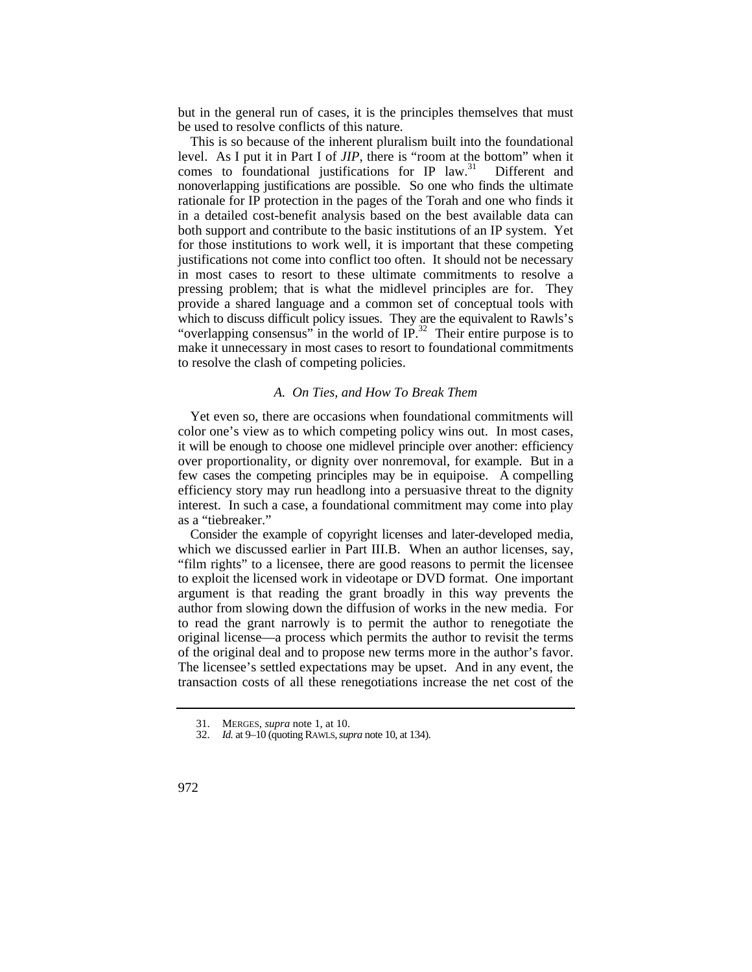but in the general run of cases, it is the principles themselves that must be used to resolve conflicts of this nature.

 which to discuss difficult policy issues. They are the equivalent to Rawls's This is so because of the inherent pluralism built into the foundational level. As I put it in Part I of *JIP*, there is "room at the bottom" when it comes to foundational justifications for IP law.<sup>31</sup> Different and nonoverlapping justifications are possible. So one who finds the ultimate rationale for IP protection in the pages of the Torah and one who finds it in a detailed cost-benefit analysis based on the best available data can both support and contribute to the basic institutions of an IP system. Yet for those institutions to work well, it is important that these competing justifications not come into conflict too often. It should not be necessary in most cases to resort to these ultimate commitments to resolve a pressing problem; that is what the midlevel principles are for. They provide a shared language and a common set of conceptual tools with "overlapping consensus" in the world of  $IP.^{32}$  Their entire purpose is to make it unnecessary in most cases to resort to foundational commitments to resolve the clash of competing policies.

## *A. On Ties, and How To Break Them*

 over proportionality, or dignity over nonremoval, for example. But in a few cases the competing principles may be in equipoise. A compelling Yet even so, there are occasions when foundational commitments will color one's view as to which competing policy wins out. In most cases, it will be enough to choose one midlevel principle over another: efficiency efficiency story may run headlong into a persuasive threat to the dignity interest. In such a case, a foundational commitment may come into play as a "tiebreaker."

Consider the example of copyright licenses and later-developed media, which we discussed earlier in Part III.B. When an author licenses, say, "film rights" to a licensee, there are good reasons to permit the licensee to exploit the licensed work in videotape or DVD format. One important argument is that reading the grant broadly in this way prevents the author from slowing down the diffusion of works in the new media. For to read the grant narrowly is to permit the author to renegotiate the original license—a process which permits the author to revisit the terms of the original deal and to propose new terms more in the author's favor. The licensee's settled expectations may be upset. And in any event, the transaction costs of all these renegotiations increase the net cost of the

<sup>31.</sup> MERGES, *supra* note 1, at 10.

<sup>32.</sup> *Id.* at 9–10 (quoting RAWLS, *supra* note 10, at 134).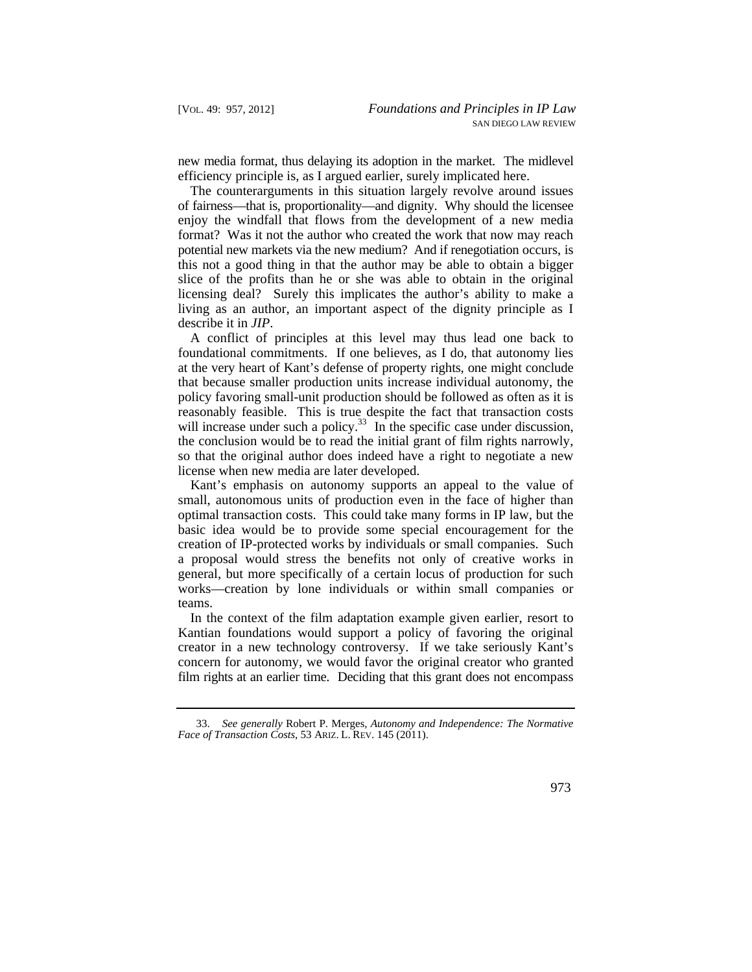new media format, thus delaying its adoption in the market. The midlevel efficiency principle is, as I argued earlier, surely implicated here.

 format? Was it not the author who created the work that now may reach potential new markets via the new medium? And if renegotiation occurs, is The counterarguments in this situation largely revolve around issues of fairness—that is, proportionality—and dignity. Why should the licensee enjoy the windfall that flows from the development of a new media this not a good thing in that the author may be able to obtain a bigger slice of the profits than he or she was able to obtain in the original licensing deal? Surely this implicates the author's ability to make a living as an author, an important aspect of the dignity principle as I describe it in *JIP*.

A conflict of principles at this level may thus lead one back to foundational commitments. If one believes, as I do, that autonomy lies at the very heart of Kant's defense of property rights, one might conclude that because smaller production units increase individual autonomy, the policy favoring small-unit production should be followed as often as it is reasonably feasible. This is true despite the fact that transaction costs will increase under such a policy.<sup>33</sup> In the specific case under discussion, the conclusion would be to read the initial grant of film rights narrowly, so that the original author does indeed have a right to negotiate a new license when new media are later developed.

Kant's emphasis on autonomy supports an appeal to the value of small, autonomous units of production even in the face of higher than optimal transaction costs. This could take many forms in IP law, but the basic idea would be to provide some special encouragement for the creation of IP-protected works by individuals or small companies. Such a proposal would stress the benefits not only of creative works in general, but more specifically of a certain locus of production for such works—creation by lone individuals or within small companies or teams.

In the context of the film adaptation example given earlier, resort to Kantian foundations would support a policy of favoring the original creator in a new technology controversy. If we take seriously Kant's concern for autonomy, we would favor the original creator who granted film rights at an earlier time. Deciding that this grant does not encompass

 *Face of Transaction Costs*, 53 ARIZ. L. REV. 145 (2011). 33. *See generally* Robert P. Merges, *Autonomy and Independence: The Normative*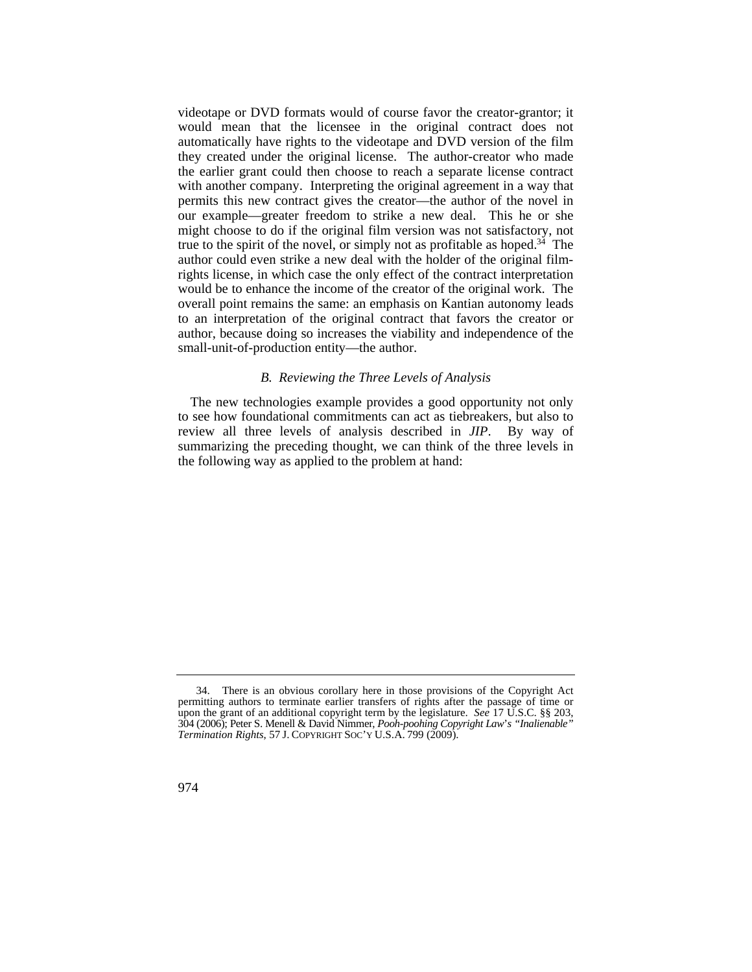might choose to do if the original film version was not satisfactory, not videotape or DVD formats would of course favor the creator-grantor; it would mean that the licensee in the original contract does not automatically have rights to the videotape and DVD version of the film they created under the original license. The author-creator who made the earlier grant could then choose to reach a separate license contract with another company. Interpreting the original agreement in a way that permits this new contract gives the creator—the author of the novel in our example—greater freedom to strike a new deal. This he or she true to the spirit of the novel, or simply not as profitable as hoped.<sup>34</sup> The author could even strike a new deal with the holder of the original filmrights license, in which case the only effect of the contract interpretation would be to enhance the income of the creator of the original work. The overall point remains the same: an emphasis on Kantian autonomy leads to an interpretation of the original contract that favors the creator or author, because doing so increases the viability and independence of the small-unit-of-production entity—the author.

## *B. Reviewing the Three Levels of Analysis*

The new technologies example provides a good opportunity not only to see how foundational commitments can act as tiebreakers, but also to review all three levels of analysis described in *JIP*. By way of summarizing the preceding thought, we can think of the three levels in the following way as applied to the problem at hand:

 *Termination Rights*, 57 J. COPYRIGHT SOC'Y U.S.A. 799 (2009). 34. There is an obvious corollary here in those provisions of the Copyright Act permitting authors to terminate earlier transfers of rights after the passage of time or upon the grant of an additional copyright term by the legislature. *See* 17 U.S.C. §§ 203, 304 (2006); Peter S. Menell & David Nimmer, *Pooh-poohing Copyright Law*'*s "Inalienable"*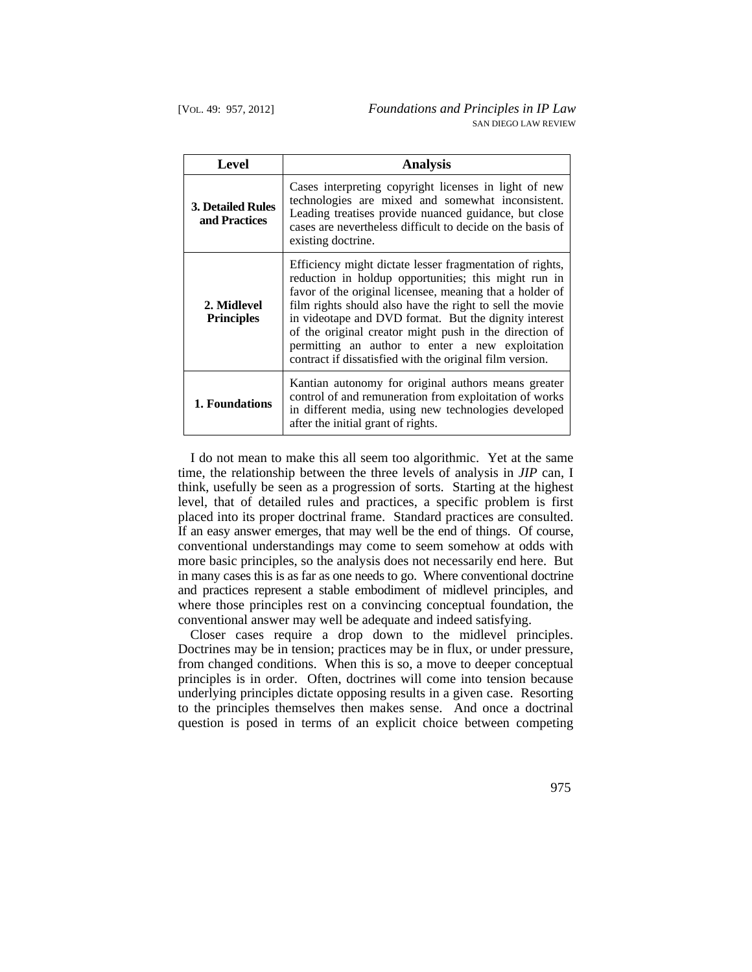| Level                                     | <b>Analysis</b>                                                                                                                                                                                                                                                                                                                                                                                                                                                             |
|-------------------------------------------|-----------------------------------------------------------------------------------------------------------------------------------------------------------------------------------------------------------------------------------------------------------------------------------------------------------------------------------------------------------------------------------------------------------------------------------------------------------------------------|
| <b>3. Detailed Rules</b><br>and Practices | Cases interpreting copyright licenses in light of new<br>technologies are mixed and somewhat inconsistent.<br>Leading treatises provide nuanced guidance, but close<br>cases are nevertheless difficult to decide on the basis of<br>existing doctrine.                                                                                                                                                                                                                     |
| 2. Midlevel<br><b>Principles</b>          | Efficiency might dictate lesser fragmentation of rights,<br>reduction in holdup opportunities; this might run in<br>favor of the original licensee, meaning that a holder of<br>film rights should also have the right to sell the movie<br>in videotape and DVD format. But the dignity interest<br>of the original creator might push in the direction of<br>permitting an author to enter a new exploitation<br>contract if dissatisfied with the original film version. |
| 1. Foundations                            | Kantian autonomy for original authors means greater<br>control of and remuneration from exploitation of works<br>in different media, using new technologies developed<br>after the initial grant of rights.                                                                                                                                                                                                                                                                 |

I do not mean to make this all seem too algorithmic. Yet at the same time, the relationship between the three levels of analysis in *JIP* can, I think, usefully be seen as a progression of sorts. Starting at the highest level, that of detailed rules and practices, a specific problem is first placed into its proper doctrinal frame. Standard practices are consulted. If an easy answer emerges, that may well be the end of things. Of course, conventional understandings may come to seem somehow at odds with more basic principles, so the analysis does not necessarily end here. But in many cases this is as far as one needs to go. Where conventional doctrine and practices represent a stable embodiment of midlevel principles, and where those principles rest on a convincing conceptual foundation, the conventional answer may well be adequate and indeed satisfying.

Closer cases require a drop down to the midlevel principles. Doctrines may be in tension; practices may be in flux, or under pressure, from changed conditions. When this is so, a move to deeper conceptual principles is in order. Often, doctrines will come into tension because underlying principles dictate opposing results in a given case. Resorting to the principles themselves then makes sense. And once a doctrinal question is posed in terms of an explicit choice between competing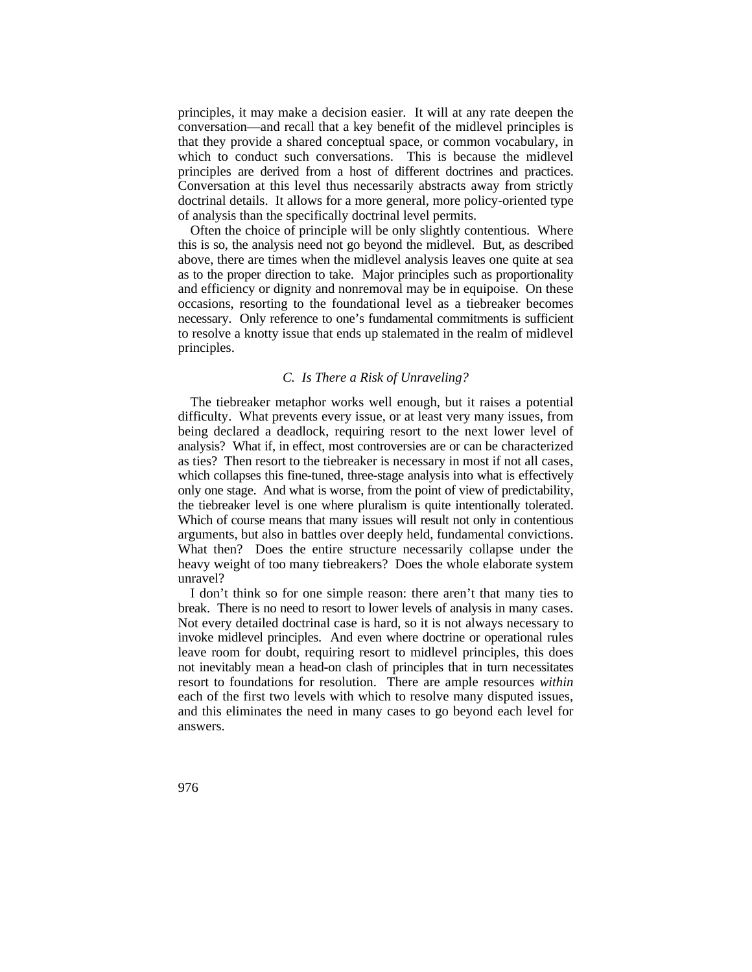Conversation at this level thus necessarily abstracts away from strictly principles, it may make a decision easier. It will at any rate deepen the conversation—and recall that a key benefit of the midlevel principles is that they provide a shared conceptual space, or common vocabulary, in which to conduct such conversations. This is because the midlevel principles are derived from a host of different doctrines and practices. doctrinal details. It allows for a more general, more policy-oriented type of analysis than the specifically doctrinal level permits.

 as to the proper direction to take. Major principles such as proportionality Often the choice of principle will be only slightly contentious. Where this is so, the analysis need not go beyond the midlevel. But, as described above, there are times when the midlevel analysis leaves one quite at sea and efficiency or dignity and nonremoval may be in equipoise. On these occasions, resorting to the foundational level as a tiebreaker becomes necessary. Only reference to one's fundamental commitments is sufficient to resolve a knotty issue that ends up stalemated in the realm of midlevel principles.

# *C. Is There a Risk of Unraveling?*

 heavy weight of too many tiebreakers? Does the whole elaborate system The tiebreaker metaphor works well enough, but it raises a potential difficulty. What prevents every issue, or at least very many issues, from being declared a deadlock, requiring resort to the next lower level of analysis? What if, in effect, most controversies are or can be characterized as ties? Then resort to the tiebreaker is necessary in most if not all cases, which collapses this fine-tuned, three-stage analysis into what is effectively only one stage. And what is worse, from the point of view of predictability, the tiebreaker level is one where pluralism is quite intentionally tolerated. Which of course means that many issues will result not only in contentious arguments, but also in battles over deeply held, fundamental convictions. What then? Does the entire structure necessarily collapse under the unravel?

 break. There is no need to resort to lower levels of analysis in many cases. invoke midlevel principles. And even where doctrine or operational rules I don't think so for one simple reason: there aren't that many ties to Not every detailed doctrinal case is hard, so it is not always necessary to leave room for doubt, requiring resort to midlevel principles, this does not inevitably mean a head-on clash of principles that in turn necessitates resort to foundations for resolution. There are ample resources *within*  each of the first two levels with which to resolve many disputed issues, and this eliminates the need in many cases to go beyond each level for answers.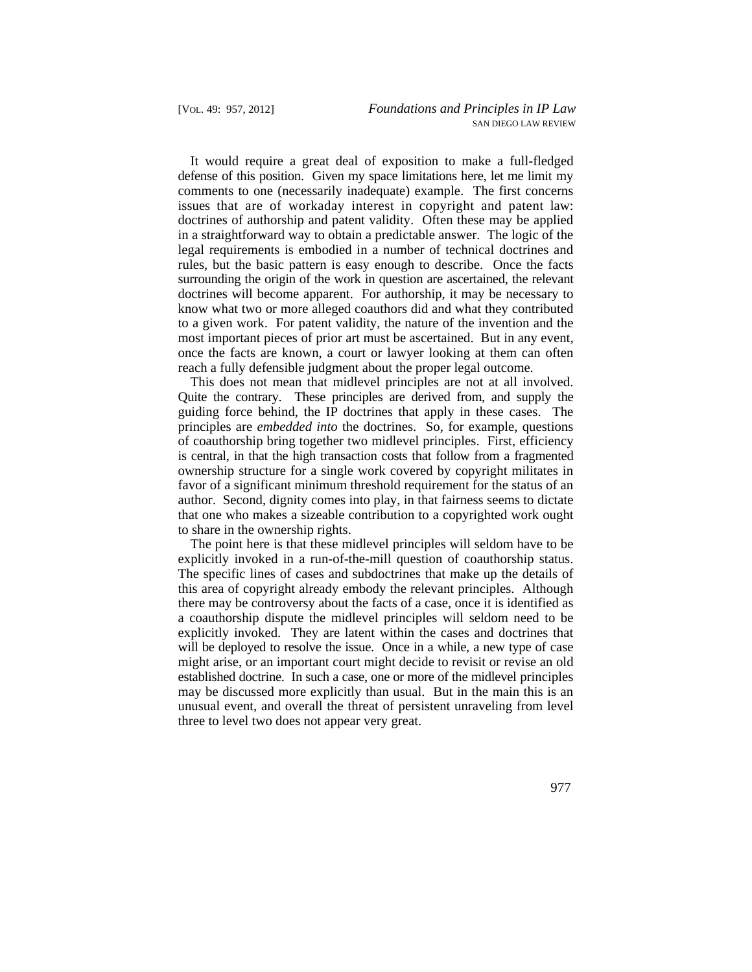It would require a great deal of exposition to make a full-fledged defense of this position. Given my space limitations here, let me limit my comments to one (necessarily inadequate) example. The first concerns issues that are of workaday interest in copyright and patent law: doctrines of authorship and patent validity. Often these may be applied in a straightforward way to obtain a predictable answer. The logic of the legal requirements is embodied in a number of technical doctrines and rules, but the basic pattern is easy enough to describe. Once the facts surrounding the origin of the work in question are ascertained, the relevant doctrines will become apparent. For authorship, it may be necessary to know what two or more alleged coauthors did and what they contributed to a given work. For patent validity, the nature of the invention and the most important pieces of prior art must be ascertained. But in any event, once the facts are known, a court or lawyer looking at them can often reach a fully defensible judgment about the proper legal outcome.

This does not mean that midlevel principles are not at all involved. Quite the contrary. These principles are derived from, and supply the guiding force behind, the IP doctrines that apply in these cases. The principles are *embedded into* the doctrines. So, for example, questions of coauthorship bring together two midlevel principles. First, efficiency is central, in that the high transaction costs that follow from a fragmented ownership structure for a single work covered by copyright militates in favor of a significant minimum threshold requirement for the status of an author. Second, dignity comes into play, in that fairness seems to dictate that one who makes a sizeable contribution to a copyrighted work ought to share in the ownership rights.

 will be deployed to resolve the issue. Once in a while, a new type of case The point here is that these midlevel principles will seldom have to be explicitly invoked in a run-of-the-mill question of coauthorship status. The specific lines of cases and subdoctrines that make up the details of this area of copyright already embody the relevant principles. Although there may be controversy about the facts of a case, once it is identified as a coauthorship dispute the midlevel principles will seldom need to be explicitly invoked. They are latent within the cases and doctrines that might arise, or an important court might decide to revisit or revise an old established doctrine. In such a case, one or more of the midlevel principles may be discussed more explicitly than usual. But in the main this is an unusual event, and overall the threat of persistent unraveling from level three to level two does not appear very great.